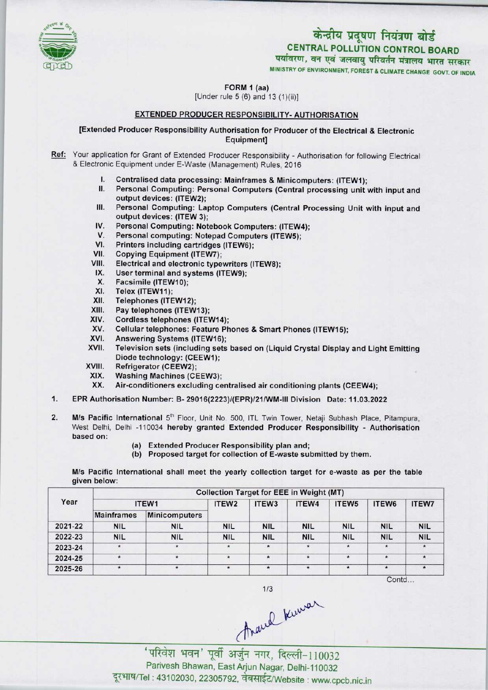

## केन्द्रीय प्रदूषण नियंत्रण बोर्ड CENTRAL POLLUTION CONTROL BOARD<br>पर्यावरण, वन एवं जलवायु परिवर्तन मंत्रालय भारत सरकार

MINISTRY OF ENVIRONMENT, FOREST S CLIMATE CHANGE GOVT. OF INDIA

FORM 1 (aa)

[Under rule 5 (6) and 13 (1}(ii)]

### EXTENDED PRODUCER RESPONSIBILITY- AUTHORISATION

[Extended Producer Responsibility Authorisation for Producer of the Electrical & Electronic Equipment]

- Ref: Your application for Grant of Extended Producer Responsibility Authorisation for following Electrical & Electronic Equipment under E-Waste (Management) Rules, 2016
	- I. Centralised data processing: Mainframes & Minicomputers: (ITEW1);<br>II. Personal Computing: Personal Computers (Central processing unit)
	- Personal Computing: Personal Computers (Central processing unit with input and output devices: (ITEW2);
	- III. Personal Computing: Laptop Computers (Central Processing Unit with input and output devices: (ITEW 3);
	- IV. Personal Computing: Notebook Computers: (ITEW4);<br>V. Personal computing: Notepad Computers (ITEW5): output devices: (ITEW 3);<br>V. Personal Computing: Notebook Computers: (ITEW<br>V. Personal computing: Notepad Computers (ITEW5);<br>// Printers including contriduce (ITEW6);
	- IV. Personal Computing: Notebook Comp<br>V. Personal computing: Notepad Compu<br>VI. Printers including cartridges (ITEW6);<br>VII. Conving Equipment (ITEW7)
	- VI. Printers including cartridges (ITEW6);<br>VII. Copying Equipment (ITEW7);<br>VIII. Electrical and electronic typewriters (I
	-
	- VIII. Electrical and electronic typewriters (ITEW8);<br>IX. User terminal and systems (ITEW9):
	- IX. User terminal and systems (ITEW9);<br>X. Facsimile (ITEW10);
	- X. Facsimile (ITEW10);<br>XI. Telex (ITEW11):
	- XI. Telex (ITEW11);<br>XII. Telephones (ITE
	- XII. Telephones (ITEW12);<br>XIII. Pay telephones (ITEW
	- XIII. Pay telephones (ITEW13);<br>XIV. Cordless telephones (ITE)
	- XIV. Cordless telephones (ITEW14);<br>XV. Cellular telephones: Feature Ph
	- XV. Cellular telephones: Feature Phones & Smart Phones (ITEW15);<br>XVI. Answering Systems (ITEW16):
	- XVI. Answering Systems (ITEW16);<br>XVII. Television sets (including sets
	- Television sets (including sets based on (Liquid Crystal Display and Light Emitting Diode technology: (CEEW1);
	- XVIII. Refrigerator (CEEW2);<br>XIX. Washing Machines (CE
		- XIX. Washing Machines (CEEW3);<br>XX. Air-conditioners excluding ce
	- Air-conditioners excluding centralised air conditioning plants (CEEW4);
- 1.EPR Authorisation Number: B- 29016(2223)/(EPR)/21/WM-IM Division Date: 11.03.2022
- 2. M/s Pacific International 5<sup>th</sup> Floor, Unit No. 500, ITL Twin Tower, Netaji Subhash Place, Pitampura, West Delhi, Delhi -110034 hereby granted Extended Producer Responsibility - Authorisation based on:
	- (a)Extended Producer Responsibility plan and;
	- (b) Proposed target for collection of E-waste submitted by them.

M/s Pacific International shall meet the yearly collection target for e-waste as per the table given below:

| Year    | <b>Collection Target for EEE in Weight (MT)</b> |               |            |                   |            |                   |            |              |  |  |
|---------|-------------------------------------------------|---------------|------------|-------------------|------------|-------------------|------------|--------------|--|--|
|         | ITEW1                                           |               | ITEW2      | ITEW <sub>3</sub> | ITEW4      | ITEW <sub>5</sub> | ITEW6      | <b>ITEW7</b> |  |  |
|         | <b>Mainframes</b>                               | Minicomputers |            |                   |            |                   |            |              |  |  |
| 2021-22 | <b>NIL</b>                                      | <b>NIL</b>    | <b>NIL</b> | <b>NIL</b>        | <b>NIL</b> | <b>NIL</b>        | <b>NIL</b> | <b>NIL</b>   |  |  |
| 2022-23 | <b>NIL</b>                                      | <b>NIL</b>    | <b>NIL</b> | <b>NIL</b>        | <b>NIL</b> | <b>NIL</b>        | <b>NIL</b> | <b>NIL</b>   |  |  |
| 2023-24 | $\star$                                         | $\star$       | $\star$    | $\star$           | *          |                   | $\star$    |              |  |  |
| 2024-25 | $\star$                                         | $\star$       | $\star$    | $\star$           | $\star$    | $\star$           | $\star$    | $\star$      |  |  |
| 2025-26 | $\pmb{\ast}$                                    | $\star$       |            | $\star$           | $\star$    | $\star$           | $\star$    | $\star$      |  |  |
|         |                                                 |               |            |                   |            |                   | Contd      |              |  |  |

thank knowar

'परिवेश भवन' पूर्वी अर्जुन नगर, दिल्ली-110032 Parivesh Bhawan, EastArjun Nagar, Delhi-110032 दूरभाष/Tel: 43102030, 22305792, वेबसाईट/Website : www.cpcb.nic.in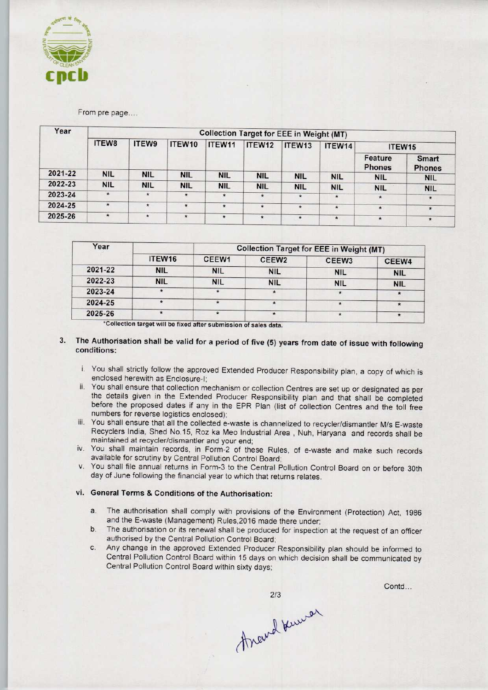

#### From pre page....

| Year    | <b>Collection Target for EEE in Weight (MT)</b> |            |            |            |            |            |            |                          |                               |  |
|---------|-------------------------------------------------|------------|------------|------------|------------|------------|------------|--------------------------|-------------------------------|--|
|         | <b>ITEW8</b>                                    | ITEW9      | ITEW10     | ITEW11     | ITEW12     | ITEW13     | ITEW14     | ITEW15                   |                               |  |
|         |                                                 |            |            |            |            |            |            | Feature<br><b>Phones</b> | <b>Smart</b><br><b>Phones</b> |  |
| 2021-22 | <b>NIL</b>                                      | <b>NIL</b> | <b>NIL</b> | <b>NIL</b> | <b>NIL</b> | <b>NIL</b> | <b>NIL</b> | <b>NIL</b>               | <b>NIL</b>                    |  |
| 2022-23 | <b>NIL</b>                                      | <b>NIL</b> | <b>NIL</b> | <b>NIL</b> | <b>NIL</b> | <b>NIL</b> | <b>NIL</b> | <b>NIL</b>               | <b>NIL</b>                    |  |
| 2023-24 | $\star$                                         | $\star$    | $\star$    | $\star$    | $\star$    | $\star$    | $\star$    | $\star$                  | $\star$                       |  |
| 2024-25 | $\star$                                         | $\star$    | $\star$    | $\star$    | *          | $\star$    | $\star$    | $\star$                  | $\star$                       |  |
| 2025-26 | $\star$                                         | $\star$    | $\star$    | $\star$    | $\star$    | $\star$    | $\star$    | $\star$                  | $\star$                       |  |

| Year    |            |            | <b>Collection Target for EEE in Weight (MT)</b> |            |            |  |  |  |
|---------|------------|------------|-------------------------------------------------|------------|------------|--|--|--|
|         | ITEW16     | CEEW1      | CEEW <sub>2</sub>                               | CEEW3      | CEEW4      |  |  |  |
| 2021-22 | <b>NIL</b> | <b>NIL</b> | <b>NIL</b>                                      | <b>NIL</b> | <b>NIL</b> |  |  |  |
| 2022-23 | <b>NIL</b> | <b>NIL</b> | <b>NIL</b>                                      | <b>NIL</b> | <b>NIL</b> |  |  |  |
| 2023-24 |            | 法          |                                                 |            |            |  |  |  |
| 2024-25 |            |            |                                                 |            | $\star$    |  |  |  |
| 2025-26 |            |            | $\star$                                         |            |            |  |  |  |

\*Collection target will be fixed after submission of sales data

#### 3. The Authorisation shall be valid for a period of five (5) years from date of issue with following conditions:

- i. You shall strictly follow the approved Extended Producer Responsibility plan, a copy of which is enclosed herewith as Enclosure-I;
- ii. You shall ensure that collection mechanism or collection Centres are set up or designated as per the details given in the Extended Producer Responsibility plan and that shall be completed before the proposed dates if any in the EPR Plan (list of collection Centres and the toll free numbers for reverse logistics enclosed);
- iii. You shall ensure that all the collected e-waste is channelized to recycler/dismantler M/s E-waste Recyclers India, Shed No.15, Roz ka Meo Industrial Area , Nuh, Haryana and records shall be maintained at recycler/dismantler and your end;
- iv. You shall maintain records, in Form-2 of these Rules, of e-waste and make such records available for scrutiny by Central Pollution Control Board;
- v. You shall file annual returns in Form-3 to the Central Pollution Control Board on or before 30th day of June following the financial year to which that returns relates.

#### vi. General Terms & Conditions of the Authorisation:

- a.The authorisation shall comply with provisions of the Environment (Protection) Act, <sup>1986</sup> and the E-waste (Management) Rules,2016 made there under;
- b.The authorisation or its renewal shall be produced for inspection at the request of an officer authorised by the Central Pollution Control Board;
- c.Any change in the approved Extended Producer Responsibility plan should be informed to Central Pollution Control Board within 15 days on which decision shall be communicated by Central Pollution Control Board within sixty days;

thand knumer

 $2/3$ 

Contd...